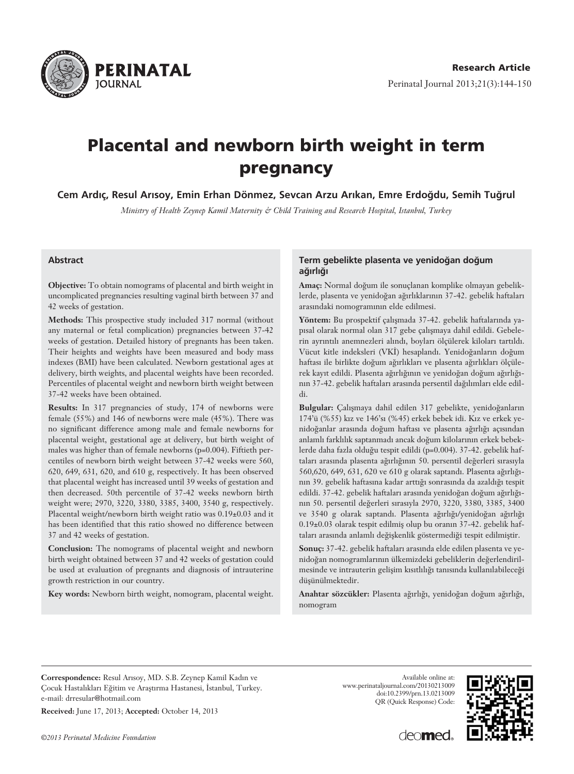

# **Placental and newborn birth weight in term pregnancy**

Cem Ardıç, Resul Arısoy, Emin Erhan Dönmez, Sevcan Arzu Arıkan, Emre Erdoğdu, Semih Tuğrul

*Ministry of Health Zeynep Kamil Maternity & Child Training and Research Hospital, Istanbul, Turkey*

#### **Abstract**

**Objective:** To obtain nomograms of placental and birth weight in uncomplicated pregnancies resulting vaginal birth between 37 and 42 weeks of gestation.

**Methods:** This prospective study included 317 normal (without any maternal or fetal complication) pregnancies between 37-42 weeks of gestation. Detailed history of pregnants has been taken. Their heights and weights have been measured and body mass indexes (BMI) have been calculated. Newborn gestational ages at delivery, birth weights, and placental weights have been recorded. Percentiles of placental weight and newborn birth weight between 37-42 weeks have been obtained.

**Results:** In 317 pregnancies of study, 174 of newborns were female (55%) and 146 of newborns were male (45%). There was no significant difference among male and female newborns for placental weight, gestational age at delivery, but birth weight of males was higher than of female newborns (p=0.004). Fiftieth percentiles of newborn birth weight between 37-42 weeks were 560, 620, 649, 631, 620, and 610 g, respectively. It has been observed that placental weight has increased until 39 weeks of gestation and then decreased. 50th percentile of 37-42 weeks newborn birth weight were; 2970, 3220, 3380, 3385, 3400, 3540 g, respectively. Placental weight/newborn birth weight ratio was 0.19±0.03 and it has been identified that this ratio showed no difference between 37 and 42 weeks of gestation.

**Conclusion:** The nomograms of placental weight and newborn birth weight obtained between 37 and 42 weeks of gestation could be used at evaluation of pregnants and diagnosis of intrauterine growth restriction in our country.

**Key words:** Newborn birth weight, nomogram, placental weight.

#### Term gebelikte plasenta ve venidoğan doğum ağırlığı

Amaç: Normal doğum ile sonuçlanan komplike olmayan gebeliklerde, plasenta ve yenidoğan ağırlıklarının 37-42. gebelik haftaları arasındaki nomogramının elde edilmesi.

Yöntem: Bu prospektif çalışmada 37-42. gebelik haftalarında yapısal olarak normal olan 317 gebe çalışmaya dahil edildi. Gebelerin ayrıntılı anemnezleri alındı, boyları ölçülerek kiloları tartıldı. Vücut kitle indeksleri (VKİ) hesaplandı. Yenidoğanların doğum haftası ile birlikte doğum ağırlıkları ve plasenta ağırlıkları ölçülerek kayıt edildi. Plasenta ağırlığının ve yenidoğan doğum ağırlığının 37-42. gebelik haftaları arasında persentil dağılımları elde edildi.

Bulgular: Çalışmaya dahil edilen 317 gebelikte, yenidoğanların 174'ü (%55) kız ve 146'sı (%45) erkek bebek idi. Kız ve erkek yenidoğanlar arasında doğum haftası ve plasenta ağırlığı açısından anlamlı farklılık saptanmadı ancak doğum kilolarının erkek bebeklerde daha fazla olduğu tespit edildi (p=0.004). 37-42. gebelik haftaları arasında plasenta ağırlığının 50. persentil değerleri sırasıyla 560,620, 649, 631, 620 ve 610 g olarak saptandı. Plasenta ağırlığının 39. gebelik haftasına kadar arttığı sonrasında da azaldığı tespit edildi. 37-42. gebelik haftaları arasında yenidoğan doğum ağırlığının 50. persentil değerleri sırasıyla 2970, 3220, 3380, 3385, 3400 ve 3540 g olarak saptandı. Plasenta ağırlığı/yenidoğan ağırlığı  $0.19\pm0.03$  olarak tespit edilmiş olup bu oranın 37-42. gebelik haftaları arasında anlamlı değişkenlik göstermediği tespit edilmiştir.

Sonuç: 37-42. gebelik haftaları arasında elde edilen plasenta ve yenidoğan nomogramlarının ülkemizdeki gebeliklerin değerlendirilmesinde ve intrauterin gelişim kısıtlılığı tanısında kullanılabileceği düsünülmektedir.

Anahtar sözcükler: Plasenta ağırlığı, yenidoğan doğum ağırlığı, nomogram

Correspondence: Resul Arisoy, MD. S.B. Zeynep Kamil Kadın ve Çocuk Hastalıkları Eğitim ve Araştırma Hastanesi, İstanbul, Turkey. e-mail: drresular@hotmail.com

**Received:** June 17, 2013; **Accepted:** October 14, 2013

Available online at: www.perinataljournal.com/20130213009 doi:10.2399/prn.13.0213009 QR (Quick Response) Code:



deo**med**.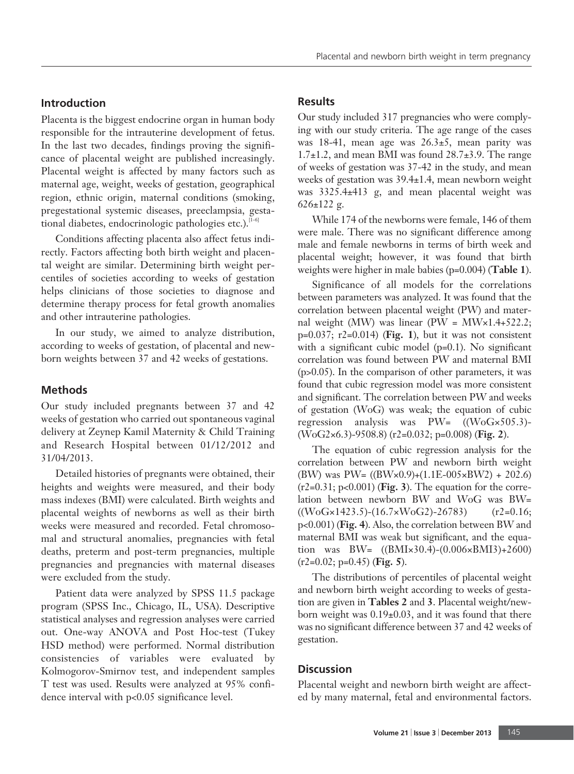## **Introduction**

Placenta is the biggest endocrine organ in human body responsible for the intrauterine development of fetus. In the last two decades, findings proving the significance of placental weight are published increasingly. Placental weight is affected by many factors such as maternal age, weight, weeks of gestation, geographical region, ethnic origin, maternal conditions (smoking, pregestational systemic diseases, preeclampsia, gestational diabetes, endocrinologic pathologies etc.).<sup>[1-6]</sup>

Conditions affecting placenta also affect fetus indirectly. Factors affecting both birth weight and placental weight are similar. Determining birth weight percentiles of societies according to weeks of gestation helps clinicians of those societies to diagnose and determine therapy process for fetal growth anomalies and other intrauterine pathologies.

In our study, we aimed to analyze distribution, according to weeks of gestation, of placental and newborn weights between 37 and 42 weeks of gestations.

### **Methods**

Our study included pregnants between 37 and 42 weeks of gestation who carried out spontaneous vaginal delivery at Zeynep Kamil Maternity & Child Training and Research Hospital between 01/12/2012 and 31/04/2013.

Detailed histories of pregnants were obtained, their heights and weights were measured, and their body mass indexes (BMI) were calculated. Birth weights and placental weights of newborns as well as their birth weeks were measured and recorded. Fetal chromosomal and structural anomalies, pregnancies with fetal deaths, preterm and post-term pregnancies, multiple pregnancies and pregnancies with maternal diseases were excluded from the study.

Patient data were analyzed by SPSS 11.5 package program (SPSS Inc., Chicago, IL, USA). Descriptive statistical analyses and regression analyses were carried out. One-way ANOVA and Post Hoc-test (Tukey HSD method) were performed. Normal distribution consistencies of variables were evaluated by Kolmogorov-Smirnov test, and independent samples T test was used. Results were analyzed at 95% confidence interval with p<0.05 significance level.

#### **Results**

Our study included 317 pregnancies who were complying with our study criteria. The age range of the cases was 18-41, mean age was  $26.3\pm5$ , mean parity was  $1.7\pm1.2$ , and mean BMI was found  $28.7\pm3.9$ . The range of weeks of gestation was 37-42 in the study, and mean weeks of gestation was 39.4±1.4, mean newborn weight was 3325.4±413 g, and mean placental weight was 626±122 g.

While 174 of the newborns were female, 146 of them were male. There was no significant difference among male and female newborns in terms of birth week and placental weight; however, it was found that birth weights were higher in male babies (p=0.004) (**Table 1**).

Significance of all models for the correlations between parameters was analyzed. It was found that the correlation between placental weight (PW) and maternal weight (MW) was linear (PW =  $\text{MW} \times 1.4 + 522.2$ ; p=0.037; r2=0.014) (**Fig. 1**), but it was not consistent with a significant cubic model (p=0.1). No significant correlation was found between PW and maternal BMI (p>0.05). In the comparison of other parameters, it was found that cubic regression model was more consistent and significant. The correlation between PW and weeks of gestation (WoG) was weak; the equation of cubic regression analysis was PW= ((WoG×505.3)- (WoG2×6.3)-9508.8) (r2=0.032; p=0.008) (**Fig. 2**).

The equation of cubic regression analysis for the correlation between PW and newborn birth weight (BW) was PW=  $((BW \times 0.9) + (1.1E - 0.05 \times BW2) + 202.6)$ (r2=0.31; p<0.001) (**Fig. 3**). The equation for the correlation between newborn BW and WoG was BW=  $((W<sub>0</sub>G<sub>x</sub>1423.5)-(16.7×W<sub>0</sub>G<sub>2</sub>)-26783)$  (r2=0.16; p<0.001) (**Fig. 4**). Also, the correlation between BW and maternal BMI was weak but significant, and the equation was BW= ((BMI×30.4)-(0.006×BMI3)+2600) (r2=0.02; p=0.45) (**Fig. 5**).

The distributions of percentiles of placental weight and newborn birth weight according to weeks of gestation are given in **Tables 2** and **3**. Placental weight/newborn weight was 0.19±0.03, and it was found that there was no significant difference between 37 and 42 weeks of gestation.

## **Discussion**

Placental weight and newborn birth weight are affected by many maternal, fetal and environmental factors.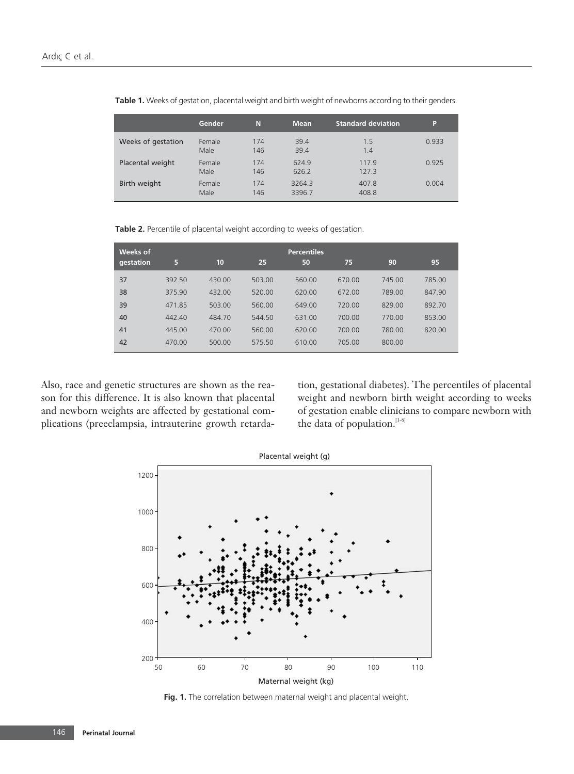|                    | Gender         | N          | <b>Mean</b>      | <b>Standard deviation</b> | P     |
|--------------------|----------------|------------|------------------|---------------------------|-------|
| Weeks of gestation | Female<br>Male | 174<br>146 | 39.4<br>39.4     | 1.5<br>1.4                | 0.933 |
| Placental weight   | Female<br>Male | 174<br>146 | 624.9<br>626.2   | 117.9<br>127.3            | 0.925 |
| Birth weight       | Female<br>Male | 174<br>146 | 3264.3<br>3396.7 | 407.8<br>408.8            | 0.004 |

**Table 1.** Weeks of gestation, placental weight and birth weight of newborns according to their genders.

**Table 2.** Percentile of placental weight according to weeks of gestation.

| Weeks of  |        |        |        | <b>Percentiles</b> |        |        |        |
|-----------|--------|--------|--------|--------------------|--------|--------|--------|
| qestation | 5      | 10     | 25     | 50                 | 75     | 90     | 95     |
| 37        | 392.50 | 430.00 | 503.00 | 560.00             | 670.00 | 745.00 | 785.00 |
| 38        | 375.90 | 432.00 | 520.00 | 620.00             | 672.00 | 789.00 | 847.90 |
| 39        | 471.85 | 503.00 | 560.00 | 649.00             | 720.00 | 829.00 | 892.70 |
| 40        | 442.40 | 484.70 | 544.50 | 631.00             | 700.00 | 770.00 | 853.00 |
| 41        | 445.00 | 470.00 | 560.00 | 620.00             | 700.00 | 780.00 | 820.00 |
| 42        | 470.00 | 500.00 | 575.50 | 610.00             | 705.00 | 800.00 |        |

Also, race and genetic structures are shown as the reason for this difference. It is also known that placental and newborn weights are affected by gestational complications (preeclampsia, intrauterine growth retarda-

tion, gestational diabetes). The percentiles of placental weight and newborn birth weight according to weeks of gestation enable clinicians to compare newborn with the data of population.  $\real^{[1-6]}$ 



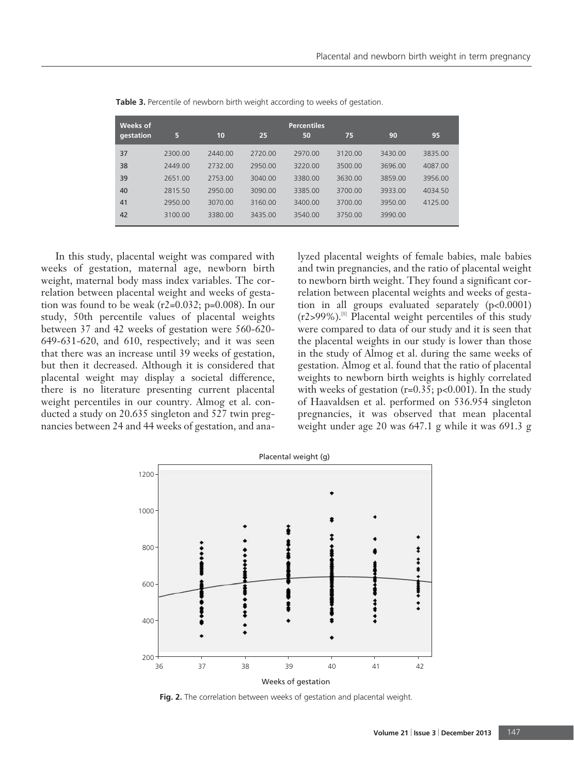| Weeks of  |         |         |         | <b>Percentiles</b> |         |         |         |
|-----------|---------|---------|---------|--------------------|---------|---------|---------|
| qestation | 5       | 10      | 25      | 50                 | 75      | 90      | 95      |
| 37        | 2300.00 | 2440.00 | 2720.00 | 2970.00            | 3120.00 | 3430.00 | 3835.00 |
| 38        | 2449.00 | 2732.00 | 2950.00 | 3220.00            | 3500.00 | 3696.00 | 4087.00 |
| 39        | 2651.00 | 2753.00 | 3040.00 | 3380.00            | 3630.00 | 3859.00 | 3956.00 |
| 40        | 2815.50 | 2950.00 | 3090.00 | 3385.00            | 3700.00 | 3933.00 | 4034.50 |
| 41        | 2950.00 | 3070.00 | 3160.00 | 3400.00            | 3700.00 | 3950.00 | 4125.00 |
| 42        | 3100.00 | 3380.00 | 3435.00 | 3540.00            | 3750.00 | 3990.00 |         |

**Table 3.** Percentile of newborn birth weight according to weeks of gestation.

In this study, placental weight was compared with weeks of gestation, maternal age, newborn birth weight, maternal body mass index variables. The correlation between placental weight and weeks of gestation was found to be weak (r2=0.032; p=0.008). In our study, 50th percentile values of placental weights between 37 and 42 weeks of gestation were 560-620- 649-631-620, and 610, respectively; and it was seen that there was an increase until 39 weeks of gestation, but then it decreased. Although it is considered that placental weight may display a societal difference, there is no literature presenting current placental weight percentiles in our country. Almog et al. conducted a study on 20.635 singleton and 527 twin pregnancies between 24 and 44 weeks of gestation, and ana-

lyzed placental weights of female babies, male babies and twin pregnancies, and the ratio of placental weight to newborn birth weight. They found a significant correlation between placental weights and weeks of gestation in all groups evaluated separately (p<0.0001)  $(r2>99\%)$ .<sup>[1]</sup> Placental weight percentiles of this study were compared to data of our study and it is seen that the placental weights in our study is lower than those in the study of Almog et al. during the same weeks of gestation. Almog et al. found that the ratio of placental weights to newborn birth weights is highly correlated with weeks of gestation ( $r=0.35$ ;  $p<0.001$ ). In the study of Haavaldsen et al. performed on 536.954 singleton pregnancies, it was observed that mean placental weight under age 20 was 647.1 g while it was 691.3 g



**Fig. 2.** The correlation between weeks of gestation and placental weight.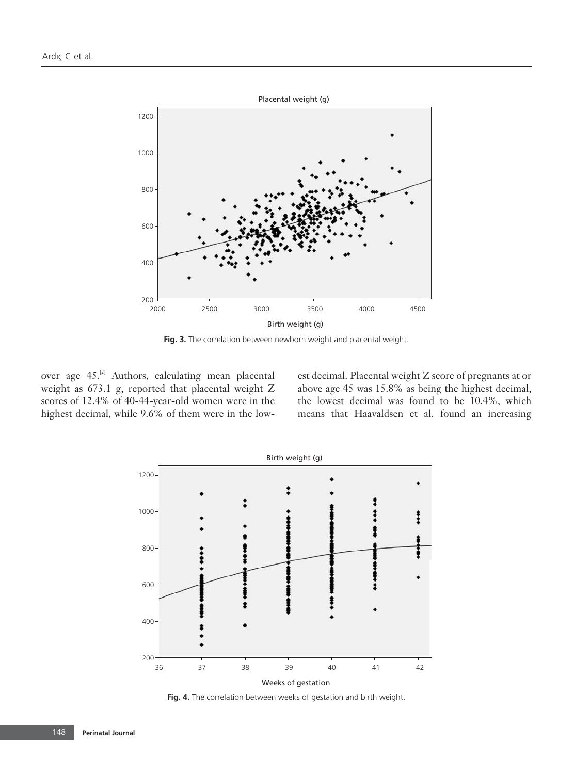

**Fig. 3.** The correlation between newborn weight and placental weight.

over age 45.<sup>[2]</sup> Authors, calculating mean placental weight as 673.1 g, reported that placental weight Z scores of 12.4% of 40-44-year-old women were in the highest decimal, while 9.6% of them were in the low-

est decimal. Placental weight Z score of pregnants at or above age 45 was 15.8% as being the highest decimal, the lowest decimal was found to be 10.4%, which means that Haavaldsen et al. found an increasing

![](_page_4_Figure_5.jpeg)

**Fig. 4.** The correlation between weeks of gestation and birth weight.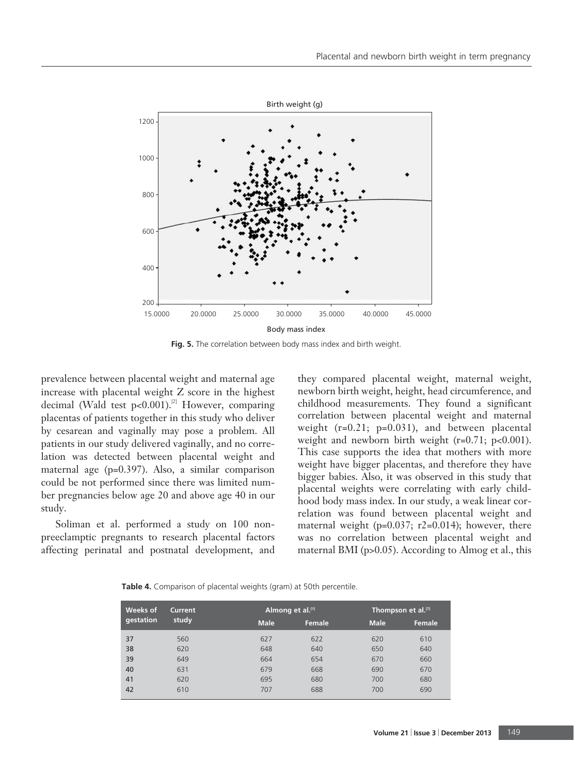![](_page_5_Figure_1.jpeg)

**Fig. 5.** The correlation between body mass index and birth weight.

prevalence between placental weight and maternal age increase with placental weight Z score in the highest decimal (Wald test  $p<0.001$ ).<sup>[2]</sup> However, comparing placentas of patients together in this study who deliver by cesarean and vaginally may pose a problem. All patients in our study delivered vaginally, and no correlation was detected between placental weight and maternal age (p=0.397). Also, a similar comparison could be not performed since there was limited number pregnancies below age 20 and above age 40 in our study.

Soliman et al. performed a study on 100 nonpreeclamptic pregnants to research placental factors affecting perinatal and postnatal development, and they compared placental weight, maternal weight, newborn birth weight, height, head circumference, and childhood measurements. They found a significant correlation between placental weight and maternal weight (r=0.21; p=0.031), and between placental weight and newborn birth weight  $(r=0.71; p<0.001)$ . This case supports the idea that mothers with more weight have bigger placentas, and therefore they have bigger babies. Also, it was observed in this study that placental weights were correlating with early childhood body mass index. In our study, a weak linear correlation was found between placental weight and maternal weight ( $p=0.037$ ;  $r2=0.014$ ); however, there was no correlation between placental weight and maternal BMI (p>0.05). According to Almog et al., this

**Table 4.** Comparison of placental weights (gram) at 50th percentile.

| Weeks of  | Current<br>study |             | Almong et al. <sup>[1]</sup> |             | Thompson et al. <sup>[7]</sup> |  |  |
|-----------|------------------|-------------|------------------------------|-------------|--------------------------------|--|--|
| gestation |                  | <b>Male</b> | Female                       | <b>Male</b> | Female                         |  |  |
| 37        | 560              | 627         | 622                          | 620         | 610                            |  |  |
| 38        | 620              | 648         | 640                          | 650         | 640                            |  |  |
| 39        | 649              | 664         | 654                          | 670         | 660                            |  |  |
| 40        | 631              | 679         | 668                          | 690         | 670                            |  |  |
| 41        | 620              | 695         | 680                          | 700         | 680                            |  |  |
| 42        | 610              | 707         | 688                          | 700         | 690                            |  |  |